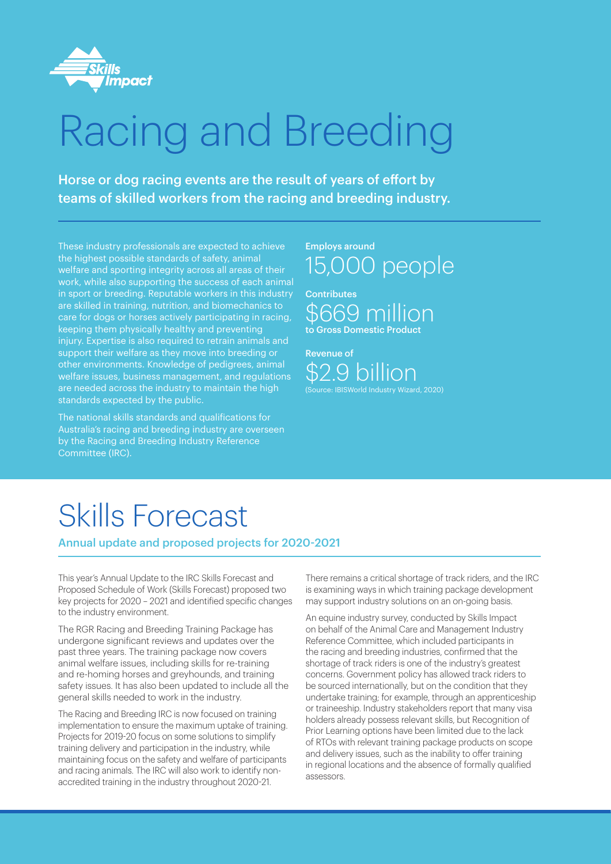

# Racing and Breeding

Horse or dog racing events are the result of years of effort by teams of skilled workers from the racing and breeding industry.

These industry professionals are expected to achieve the highest possible standards of safety, animal welfare and sporting integrity across all areas of their work, while also supporting the success of each animal in sport or breeding. Reputable workers in this industry are skilled in training, nutrition, and biomechanics to care for dogs or horses actively participating in racing, keeping them physically healthy and preventing injury. Expertise is also required to retrain animals and support their welfare as they move into breeding or other environments. Knowledge of pedigrees, animal welfare issues, business management, and regulations are needed across the industry to maintain the high standards expected by the public.

The national skills standards and qualifications for Australia's racing and breeding industry are overseen by the Racing and Breeding Industry Reference Committee (IRC).

Employs around 15,000 people

**Contributes** \$669 million to Gross Domestic Product

Revenue of \$2.9 billion (Source: IBISWorld Industry Wizard, 2020)

## Skills Forecast

Annual update and proposed projects for 2020-2021

This year's Annual Update to the IRC Skills Forecast and Proposed Schedule of Work (Skills Forecast) proposed two key projects for 2020 – 2021 and identified specific changes to the industry environment.

The RGR Racing and Breeding Training Package has undergone significant reviews and updates over the past three years. The training package now covers animal welfare issues, including skills for re-training and re-homing horses and greyhounds, and training safety issues. It has also been updated to include all the general skills needed to work in the industry.

The Racing and Breeding IRC is now focused on training implementation to ensure the maximum uptake of training. Projects for 2019-20 focus on some solutions to simplify training delivery and participation in the industry, while maintaining focus on the safety and welfare of participants and racing animals. The IRC will also work to identify nonaccredited training in the industry throughout 2020-21.

There remains a critical shortage of track riders, and the IRC is examining ways in which training package development may support industry solutions on an on-going basis.

An equine industry survey, conducted by Skills Impact on behalf of the Animal Care and Management Industry Reference Committee, which included participants in the racing and breeding industries, confirmed that the shortage of track riders is one of the industry's greatest concerns. Government policy has allowed track riders to be sourced internationally, but on the condition that they undertake training; for example, through an apprenticeship or traineeship. Industry stakeholders report that many visa holders already possess relevant skills, but Recognition of Prior Learning options have been limited due to the lack of RTOs with relevant training package products on scope and delivery issues, such as the inability to offer training in regional locations and the absence of formally qualified assessors.